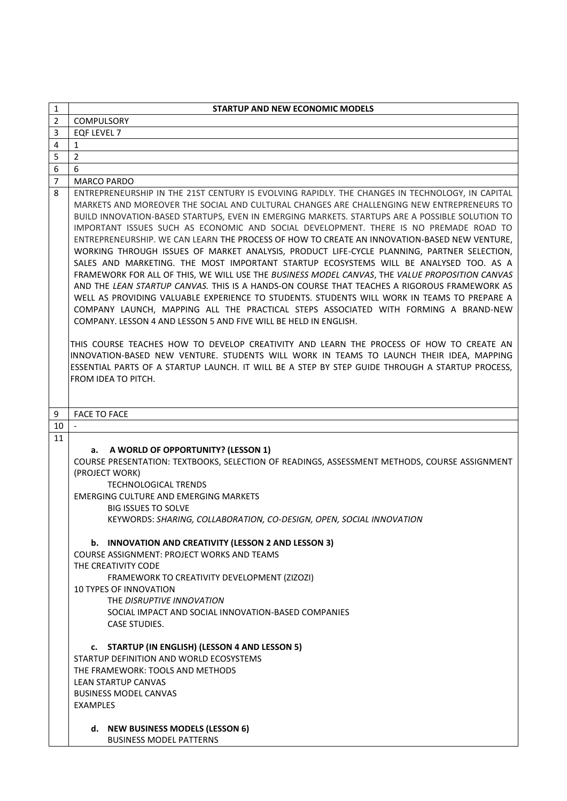| $\mathbf{1}$   | <b>STARTUP AND NEW ECONOMIC MODELS</b>                                                                                                                                                                                                                                                                                                                                                                                                                                                                                                                                                                                                                                                                                                                                                                                                                                                                                                                                                                                                                                                                                                                                                                                                                                                                                                                                                                                                                    |
|----------------|-----------------------------------------------------------------------------------------------------------------------------------------------------------------------------------------------------------------------------------------------------------------------------------------------------------------------------------------------------------------------------------------------------------------------------------------------------------------------------------------------------------------------------------------------------------------------------------------------------------------------------------------------------------------------------------------------------------------------------------------------------------------------------------------------------------------------------------------------------------------------------------------------------------------------------------------------------------------------------------------------------------------------------------------------------------------------------------------------------------------------------------------------------------------------------------------------------------------------------------------------------------------------------------------------------------------------------------------------------------------------------------------------------------------------------------------------------------|
| $\overline{2}$ | <b>COMPULSORY</b>                                                                                                                                                                                                                                                                                                                                                                                                                                                                                                                                                                                                                                                                                                                                                                                                                                                                                                                                                                                                                                                                                                                                                                                                                                                                                                                                                                                                                                         |
| 3              | EQF LEVEL 7                                                                                                                                                                                                                                                                                                                                                                                                                                                                                                                                                                                                                                                                                                                                                                                                                                                                                                                                                                                                                                                                                                                                                                                                                                                                                                                                                                                                                                               |
| 4              | $\mathbf{1}$                                                                                                                                                                                                                                                                                                                                                                                                                                                                                                                                                                                                                                                                                                                                                                                                                                                                                                                                                                                                                                                                                                                                                                                                                                                                                                                                                                                                                                              |
| 5              | $\overline{2}$                                                                                                                                                                                                                                                                                                                                                                                                                                                                                                                                                                                                                                                                                                                                                                                                                                                                                                                                                                                                                                                                                                                                                                                                                                                                                                                                                                                                                                            |
| 6              | 6                                                                                                                                                                                                                                                                                                                                                                                                                                                                                                                                                                                                                                                                                                                                                                                                                                                                                                                                                                                                                                                                                                                                                                                                                                                                                                                                                                                                                                                         |
| 7              | <b>MARCO PARDO</b>                                                                                                                                                                                                                                                                                                                                                                                                                                                                                                                                                                                                                                                                                                                                                                                                                                                                                                                                                                                                                                                                                                                                                                                                                                                                                                                                                                                                                                        |
| 8              | ENTREPRENEURSHIP IN THE 21ST CENTURY IS EVOLVING RAPIDLY. THE CHANGES IN TECHNOLOGY, IN CAPITAL<br>MARKETS AND MOREOVER THE SOCIAL AND CULTURAL CHANGES ARE CHALLENGING NEW ENTREPRENEURS TO<br>BUILD INNOVATION-BASED STARTUPS, EVEN IN EMERGING MARKETS. STARTUPS ARE A POSSIBLE SOLUTION TO<br>IMPORTANT ISSUES SUCH AS ECONOMIC AND SOCIAL DEVELOPMENT. THERE IS NO PREMADE ROAD TO<br>ENTREPRENEURSHIP. WE CAN LEARN THE PROCESS OF HOW TO CREATE AN INNOVATION-BASED NEW VENTURE,<br>WORKING THROUGH ISSUES OF MARKET ANALYSIS, PRODUCT LIFE-CYCLE PLANNING, PARTNER SELECTION,<br>SALES AND MARKETING. THE MOST IMPORTANT STARTUP ECOSYSTEMS WILL BE ANALYSED TOO. AS A<br>FRAMEWORK FOR ALL OF THIS, WE WILL USE THE BUSINESS MODEL CANVAS, THE VALUE PROPOSITION CANVAS<br>AND THE LEAN STARTUP CANVAS. THIS IS A HANDS-ON COURSE THAT TEACHES A RIGOROUS FRAMEWORK AS<br>WELL AS PROVIDING VALUABLE EXPERIENCE TO STUDENTS. STUDENTS WILL WORK IN TEAMS TO PREPARE A<br>COMPANY LAUNCH, MAPPING ALL THE PRACTICAL STEPS ASSOCIATED WITH FORMING A BRAND-NEW<br>COMPANY, LESSON 4 AND LESSON 5 AND FIVE WILL BE HELD IN ENGLISH.<br>THIS COURSE TEACHES HOW TO DEVELOP CREATIVITY AND LEARN THE PROCESS OF HOW TO CREATE AN<br>INNOVATION-BASED NEW VENTURE. STUDENTS WILL WORK IN TEAMS TO LAUNCH THEIR IDEA, MAPPING<br>ESSENTIAL PARTS OF A STARTUP LAUNCH. IT WILL BE A STEP BY STEP GUIDE THROUGH A STARTUP PROCESS,<br>FROM IDEA TO PITCH. |
|                |                                                                                                                                                                                                                                                                                                                                                                                                                                                                                                                                                                                                                                                                                                                                                                                                                                                                                                                                                                                                                                                                                                                                                                                                                                                                                                                                                                                                                                                           |
| 9              | <b>FACE TO FACE</b>                                                                                                                                                                                                                                                                                                                                                                                                                                                                                                                                                                                                                                                                                                                                                                                                                                                                                                                                                                                                                                                                                                                                                                                                                                                                                                                                                                                                                                       |
| 10             | $\mathbb{L}$                                                                                                                                                                                                                                                                                                                                                                                                                                                                                                                                                                                                                                                                                                                                                                                                                                                                                                                                                                                                                                                                                                                                                                                                                                                                                                                                                                                                                                              |
| 11             | a. A WORLD OF OPPORTUNITY? (LESSON 1)<br>COURSE PRESENTATION: TEXTBOOKS, SELECTION OF READINGS, ASSESSMENT METHODS, COURSE ASSIGNMENT<br>(PROJECT WORK)<br><b>TECHNOLOGICAL TRENDS</b><br>EMERGING CULTURE AND EMERGING MARKETS<br><b>BIG ISSUES TO SOLVE</b><br>KEYWORDS: SHARING, COLLABORATION, CO-DESIGN, OPEN, SOCIAL INNOVATION<br>b. INNOVATION AND CREATIVITY (LESSON 2 AND LESSON 3)<br><b>COURSE ASSIGNMENT: PROJECT WORKS AND TEAMS</b><br>THE CREATIVITY CODE<br>FRAMEWORK TO CREATIVITY DEVELOPMENT (ZIZOZI)<br>10 TYPES OF INNOVATION<br>THE DISRUPTIVE INNOVATION<br>SOCIAL IMPACT AND SOCIAL INNOVATION-BASED COMPANIES<br><b>CASE STUDIES.</b><br>c. STARTUP (IN ENGLISH) (LESSON 4 AND LESSON 5)<br>STARTUP DEFINITION AND WORLD ECOSYSTEMS<br>THE FRAMEWORK: TOOLS AND METHODS                                                                                                                                                                                                                                                                                                                                                                                                                                                                                                                                                                                                                                                         |
|                | <b>LEAN STARTUP CANVAS</b><br><b>BUSINESS MODEL CANVAS</b><br>EXAMPLES<br>d. NEW BUSINESS MODELS (LESSON 6)                                                                                                                                                                                                                                                                                                                                                                                                                                                                                                                                                                                                                                                                                                                                                                                                                                                                                                                                                                                                                                                                                                                                                                                                                                                                                                                                               |
|                | <b>BUSINESS MODEL PATTERNS</b>                                                                                                                                                                                                                                                                                                                                                                                                                                                                                                                                                                                                                                                                                                                                                                                                                                                                                                                                                                                                                                                                                                                                                                                                                                                                                                                                                                                                                            |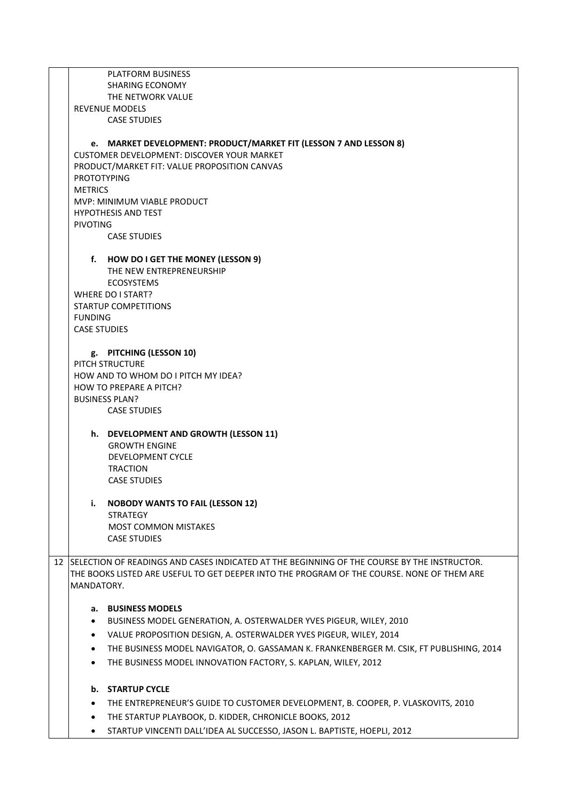PLATFORM BUSINESS SHARING ECONOMY THE NETWORK VALUE REVENUE MODELS CASE STUDIES **e. MARKET DEVELOPMENT: PRODUCT/MARKET FIT (LESSON 7 AND LESSON 8)** CUSTOMER DEVELOPMENT: DISCOVER YOUR MARKET PRODUCT/MARKET FIT: VALUE PROPOSITION CANVAS PROTOTYPING **METRICS** MVP: MINIMUM VIABLE PRODUCT HYPOTHESIS AND TEST PIVOTING CASE STUDIES **f. HOW DO I GET THE MONEY (LESSON 9)** THE NEW ENTREPRENEURSHIP ECOSYSTEMS WHERE DO I START? STARTUP COMPETITIONS FUNDING CASE STUDIES **g. PITCHING (LESSON 10)** PITCH STRUCTURE HOW AND TO WHOM DO I PITCH MY IDEA? HOW TO PREPARE A PITCH? BUSINESS PLAN? CASE STUDIES **h. DEVELOPMENT AND GROWTH (LESSON 11)** GROWTH ENGINE DEVELOPMENT CYCLE TRACTION CASE STUDIES **i. NOBODY WANTS TO FAIL (LESSON 12) STRATEGY** MOST COMMON MISTAKES CASE STUDIES 12 SELECTION OF READINGS AND CASES INDICATED AT THE BEGINNING OF THE COURSE BY THE INSTRUCTOR. THE BOOKS LISTED ARE USEFUL TO GET DEEPER INTO THE PROGRAM OF THE COURSE. NONE OF THEM ARE MANDATORY. **a. BUSINESS MODELS** BUSINESS MODEL GENERATION, A. OSTERWALDER YVES PIGEUR, WILEY, 2010 VALUE PROPOSITION DESIGN, A. OSTERWALDER YVES PIGEUR, WILEY, 2014 THE BUSINESS MODEL NAVIGATOR, O. GASSAMAN K. FRANKENBERGER M. CSIK, FT PUBLISHING, 2014 THE BUSINESS MODEL INNOVATION FACTORY, S. KAPLAN, WILEY, 2012 **b. STARTUP CYCLE** THE ENTREPRENEUR'S GUIDE TO CUSTOMER DEVELOPMENT, B. COOPER, P. VLASKOVITS, 2010 THE STARTUP PLAYBOOK, D. KIDDER, CHRONICLE BOOKS, 2012 STARTUP VINCENTI DALL'IDEA AL SUCCESSO, JASON L. BAPTISTE, HOEPLI, 2012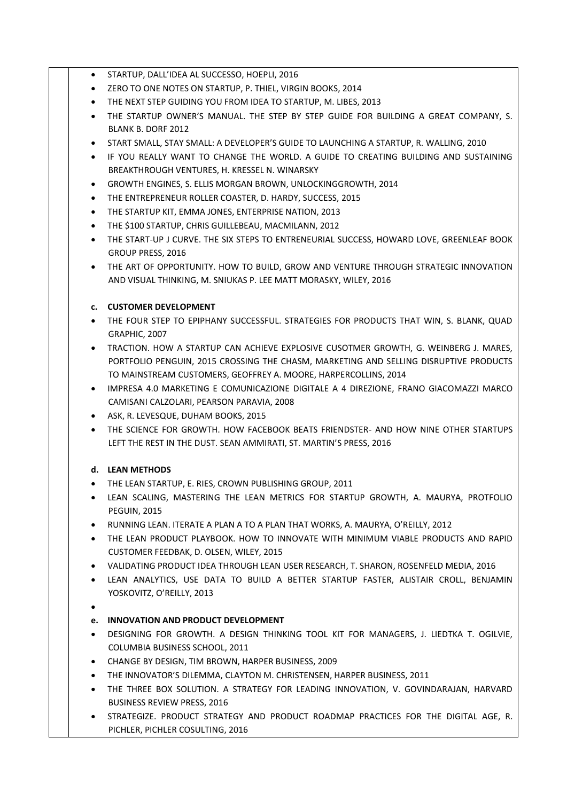- STARTUP, DALL'IDEA AL SUCCESSO, HOEPLI, 2016
- ZERO TO ONE NOTES ON STARTUP, P. THIEL, VIRGIN BOOKS, 2014
- THE NEXT STEP GUIDING YOU FROM IDEA TO STARTUP, M. LIBES, 2013
- THE STARTUP OWNER'S MANUAL. THE STEP BY STEP GUIDE FOR BUILDING A GREAT COMPANY, S. BLANK B. DORF 2012
- START SMALL, STAY SMALL: A DEVELOPER'S GUIDE TO LAUNCHING A STARTUP, R. WALLING, 2010
- IF YOU REALLY WANT TO CHANGE THE WORLD. A GUIDE TO CREATING BUILDING AND SUSTAINING BREAKTHROUGH VENTURES, H. KRESSEL N. WINARSKY
- GROWTH ENGINES, S. ELLIS MORGAN BROWN, UNLOCKINGGROWTH, 2014
- THE ENTREPRENEUR ROLLER COASTER, D. HARDY, SUCCESS, 2015
- THE STARTUP KIT, EMMA JONES, ENTERPRISE NATION, 2013
- THE \$100 STARTUP, CHRIS GUILLEBEAU, MACMILANN, 2012
- THE START-UP J CURVE. THE SIX STEPS TO ENTRENEURIAL SUCCESS, HOWARD LOVE, GREENLEAF BOOK GROUP PRESS, 2016
- THE ART OF OPPORTUNITY. HOW TO BUILD, GROW AND VENTURE THROUGH STRATEGIC INNOVATION AND VISUAL THINKING, M. SNIUKAS P. LEE MATT MORASKY, WILEY, 2016

## **c. CUSTOMER DEVELOPMENT**

- THE FOUR STEP TO EPIPHANY SUCCESSFUL. STRATEGIES FOR PRODUCTS THAT WIN, S. BLANK, QUAD GRAPHIC, 2007
- TRACTION. HOW A STARTUP CAN ACHIEVE EXPLOSIVE CUSOTMER GROWTH, G. WEINBERG J. MARES, PORTFOLIO PENGUIN, 2015 CROSSING THE CHASM, MARKETING AND SELLING DISRUPTIVE PRODUCTS TO MAINSTREAM CUSTOMERS, GEOFFREY A. MOORE, HARPERCOLLINS, 2014
- IMPRESA 4.0 MARKETING E COMUNICAZIONE DIGITALE A 4 DIREZIONE, FRANO GIACOMAZZI MARCO CAMISANI CALZOLARI, PEARSON PARAVIA, 2008
- **ASK, R. LEVESQUE, DUHAM BOOKS, 2015**
- THE SCIENCE FOR GROWTH. HOW FACEBOOK BEATS FRIENDSTER- AND HOW NINE OTHER STARTUPS LEFT THE REST IN THE DUST. SEAN AMMIRATI, ST. MARTIN'S PRESS, 2016

## **d. LEAN METHODS**

- THE LEAN STARTUP, E. RIES, CROWN PUBLISHING GROUP, 2011
- LEAN SCALING, MASTERING THE LEAN METRICS FOR STARTUP GROWTH, A. MAURYA, PROTFOLIO PEGUIN, 2015
- RUNNING LEAN. ITERATE A PLAN A TO A PLAN THAT WORKS, A. MAURYA, O'REILLY, 2012
- THE LEAN PRODUCT PLAYBOOK. HOW TO INNOVATE WITH MINIMUM VIABLE PRODUCTS AND RAPID CUSTOMER FEEDBAK, D. OLSEN, WILEY, 2015
- VALIDATING PRODUCT IDEA THROUGH LEAN USER RESEARCH, T. SHARON, ROSENFELD MEDIA, 2016
- LEAN ANALYTICS, USE DATA TO BUILD A BETTER STARTUP FASTER, ALISTAIR CROLL, BENJAMIN YOSKOVITZ, O'REILLY, 2013
- $\bullet$

## **e. INNOVATION AND PRODUCT DEVELOPMENT**

- DESIGNING FOR GROWTH. A DESIGN THINKING TOOL KIT FOR MANAGERS, J. LIEDTKA T. OGILVIE, COLUMBIA BUSINESS SCHOOL, 2011
- CHANGE BY DESIGN, TIM BROWN, HARPER BUSINESS, 2009
- THE INNOVATOR'S DILEMMA, CLAYTON M. CHRISTENSEN, HARPER BUSINESS, 2011
- THE THREE BOX SOLUTION. A STRATEGY FOR LEADING INNOVATION, V. GOVINDARAJAN, HARVARD BUSINESS REVIEW PRESS, 2016
- STRATEGIZE. PRODUCT STRATEGY AND PRODUCT ROADMAP PRACTICES FOR THE DIGITAL AGE, R. PICHLER, PICHLER COSULTING, 2016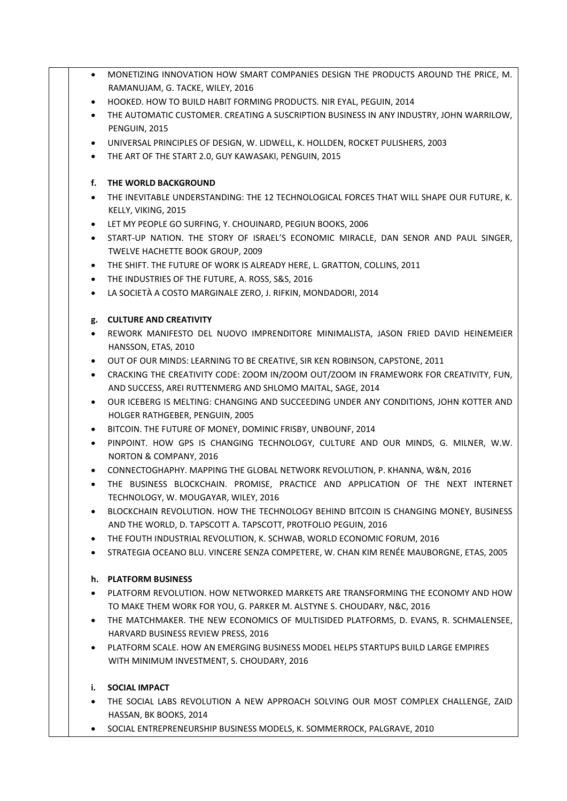- MONETIZING INNOVATION HOW SMART COMPANIES DESIGN THE PRODUCTS AROUND THE PRICE, M. RAMANUJAM, G. TACKE, WILEY, 2016
- HOOKED. HOW TO BUILD HABIT FORMING PRODUCTS. NIR EYAL, PEGUIN, 2014
- THE AUTOMATIC CUSTOMER. CREATING A SUSCRIPTION BUSINESS IN ANY INDUSTRY, JOHN WARRILOW, PENGUIN, 2015
- UNIVERSAL PRINCIPLES OF DESIGN, W. LIDWELL, K. HOLLDEN, ROCKET PULISHERS, 2003
- THE ART OF THE START 2.0, GUY KAWASAKI, PENGUIN, 2015

## **f. THE WORLD BACKGROUND**

- THE INEVITABLE UNDERSTANDING: THE 12 TECHNOLOGICAL FORCES THAT WILL SHAPE OUR FUTURE, K. KELLY, VIKING, 2015
- LET MY PEOPLE GO SURFING, Y. CHOUINARD, PEGIUN BOOKS, 2006
- START-UP NATION. THE STORY OF ISRAEL'S ECONOMIC MIRACLE, DAN SENOR AND PAUL SINGER, TWELVE HACHETTE BOOK GROUP, 2009
- THE SHIFT. THE FUTURE OF WORK IS ALREADY HERE, L. GRATTON, COLLINS, 2011
- THE INDUSTRIES OF THE FUTURE, A. ROSS, S&S, 2016
- LA SOCIETÀ A COSTO MARGINALE ZERO, J. RIFKIN, MONDADORI, 2014

# **g. CULTURE AND CREATIVITY**

- REWORK MANIFESTO DEL NUOVO IMPRENDITORE MINIMALISTA, JASON FRIED DAVID HEINEMEIER HANSSON, ETAS, 2010
- OUT OF OUR MINDS: LEARNING TO BE CREATIVE, SIR KEN ROBINSON, CAPSTONE, 2011
- CRACKING THE CREATIVITY CODE: ZOOM IN/ZOOM OUT/ZOOM IN FRAMEWORK FOR CREATIVITY, FUN, AND SUCCESS, AREI RUTTENMERG AND SHLOMO MAITAL, SAGE, 2014
- OUR ICEBERG IS MELTING: CHANGING AND SUCCEEDING UNDER ANY CONDITIONS, JOHN KOTTER AND HOLGER RATHGEBER, PENGUIN, 2005
- BITCOIN. THE FUTURE OF MONEY, DOMINIC FRISBY, UNBOUNF, 2014
- PINPOINT. HOW GPS IS CHANGING TECHNOLOGY, CULTURE AND OUR MINDS, G. MILNER, W.W. NORTON & COMPANY, 2016
- CONNECTOGHAPHY. MAPPING THE GLOBAL NETWORK REVOLUTION, P. KHANNA, W&N, 2016
- THE BUSINESS BLOCKCHAIN. PROMISE, PRACTICE AND APPLICATION OF THE NEXT INTERNET TECHNOLOGY, W. MOUGAYAR, WILEY, 2016
- BLOCKCHAIN REVOLUTION. HOW THE TECHNOLOGY BEHIND BITCOIN IS CHANGING MONEY, BUSINESS AND THE WORLD, D. TAPSCOTT A. TAPSCOTT, PROTFOLIO PEGUIN, 2016
- THE FOUTH INDUSTRIAL REVOLUTION, K. SCHWAB, WORLD ECONOMIC FORUM, 2016
- STRATEGIA OCEANO BLU. VINCERE SENZA COMPETERE, W. CHAN KIM RENÉE MAUBORGNE, ETAS, 2005

## **h. PLATFORM BUSINESS**

- PLATFORM REVOLUTION. HOW NETWORKED MARKETS ARE TRANSFORMING THE ECONOMY AND HOW TO MAKE THEM WORK FOR YOU, G. PARKER M. ALSTYNE S. CHOUDARY, N&C, 2016
- THE MATCHMAKER. THE NEW ECONOMICS OF MULTISIDED PLATFORMS, D. EVANS, R. SCHMALENSEE, HARVARD BUSINESS REVIEW PRESS, 2016
- PLATFORM SCALE. HOW AN EMERGING BUSINESS MODEL HELPS STARTUPS BUILD LARGE EMPIRES WITH MINIMUM INVESTMENT, S. CHOUDARY, 2016

## **i. SOCIAL IMPACT**

- THE SOCIAL LABS REVOLUTION A NEW APPROACH SOLVING OUR MOST COMPLEX CHALLENGE, ZAID HASSAN, BK BOOKS, 2014
- SOCIAL ENTREPRENEURSHIP BUSINESS MODELS, K. SOMMERROCK, PALGRAVE, 2010